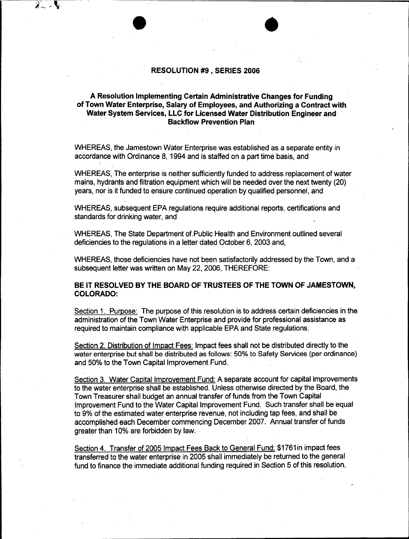## **RESOLUTION #9, SERIES 2006**

## **A Resolution Implementing Certain Administrative Changes for Funding of Town Water Enterprise, Salary of Employees, and Authorizing a Contract with Water System Services, LLC for Licensed Water Distribution Engineer and Backflow Prevention Plan**

WHEREAS, the Jamestown Water Enterprise was established as a separate entity in accordance with Ordinance 8, 1994 and is staffed on a part time basis, and

WHEREAS, The enterprise is neither sufficiently funded to address replacement of water mains, hydrants and filtration equipment which will be needed over the next twenty (20) years, nor is it funded to ensure continued operation by qualified personnel, and

WHEREAS, subsequent EPA regulations require additional reports, certifications and standards for drinking water, and

WHEREAS, The State Department of.Public Health and Environment outlined several deficiencies to the regulations in a letter dated October 6, 2003 and,

WHEREAS, those deficiencies have not been satisfactorily addressed by the Town, and a subsequent letter was written on May 22, 2006, THEREFORE:

## **BE IT RESOLVED BY THE BOARD OF TRUSTEES OF THE TOWN OF JAMESTOWN, COLORADO:**

Section 1. Purpose: The purpose of this resolution is to address certain deficiencies in the administration of the Town Water Enterprise and provide for professional assistance as required to maintain compliance with applicable EPA and State regulations.

Section 2. Distribution of Impact Fees: Impact fees shall not be distributed directly to the water enterprise but shall be distributed as follows: 50% to Safety Services (per ordinance) and 50% to the Town Capital Improvement Fund.

Section 3. Water Capital Improvement Fund: A separate account for capital improvements to the water enterprise shall be established. Unless otherwise directed by the Board, the Town Treasurer shall budget an annual transfer of funds from the Town Capital Improvement Fund to the Water Capital Improvement Fund. Such transfer shall be equal to 9% of the estimated water enterprise revenue, not including tap fees, and shall be accomplished each December commencing December 2007. Annual transfer of funds greater than 10% are forbidden by law.

Section 4. Transfer of 2005 Impact Fees Back to General Fund: \$1761 in impact fees transferred to the water enterprise in 2005 shall immediately be returned to the general fund to finance the immediate additional funding required in Section 5 of this resolution.